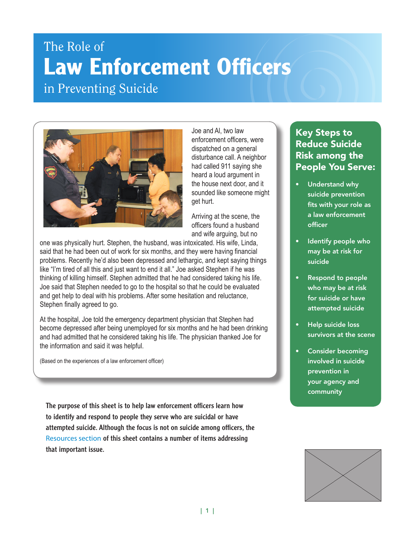# The Role of **Law Enforcement Officers** in Preventing Suicide



Joe and Al, two law enforcement officers, were dispatched on a general disturbance call. A neighbor had called 911 saying she heard a loud argument in the house next door, and it sounded like someone might get hurt.

Arriving at the scene, the officers found a husband and wife arguing, but no

one was physically hurt. Stephen, the husband, was intoxicated. His wife, Linda, said that he had been out of work for six months, and they were having financial problems. Recently he'd also been depressed and lethargic, and kept saying things like "I'm tired of all this and just want to end it all." Joe asked Stephen if he was thinking of killing himself. Stephen admitted that he had considered taking his life. Joe said that Stephen needed to go to the hospital so that he could be evaluated and get help to deal with his problems. After some hesitation and reluctance, Stephen finally agreed to go.

At the hospital, Joe told the emergency department physician that Stephen had become depressed after being unemployed for six months and he had been drinking and had admitted that he considered taking his life. The physician thanked Joe for the information and said it was helpful.

(Based on the experiences of a law enforcement officer)

The purpose of this sheet is to help law enforcement officers learn how to identify and respond to people they serve who are suicidal or have attempted suicide. Although the focus is not on suicide among officers, the Resources section of this sheet contains a number of items addressing that important issue.

# Key Steps to Reduce Suicide Risk among the People You Serve:

- Understand why suicide prevention fits with your role as a law enforcement officer
- Identify people who may be at risk for suicide
- Respond to people who may be at risk for suicide or have attempted suicide
- Help suicide loss survivors at the scene
- Consider becoming involved in suicide prevention in your agency and community

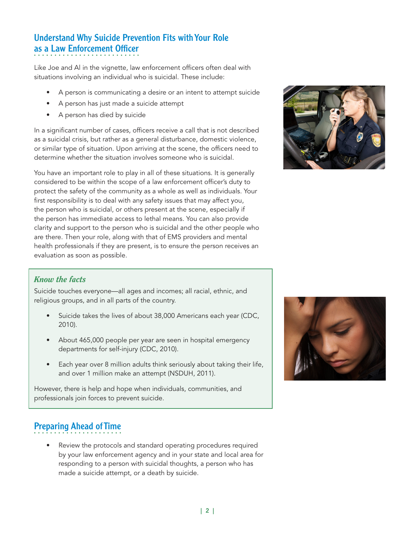# Understand Why Suicide Prevention Fits with Your Role as a Law Enforcement Officer

Like Joe and Al in the vignette, law enforcement officers often deal with situations involving an individual who is suicidal. These include:

- A person is communicating a desire or an intent to attempt suicide
- A person has just made a suicide attempt
- A person has died by suicide

In a significant number of cases, officers receive a call that is not described as a suicidal crisis, but rather as a general disturbance, domestic violence, or similar type of situation. Upon arriving at the scene, the officers need to determine whether the situation involves someone who is suicidal.

You have an important role to play in all of these situations. It is generally considered to be within the scope of a law enforcement officer's duty to protect the safety of the community as a whole as well as individuals. Your first responsibility is to deal with any safety issues that may affect you, the person who is suicidal, or others present at the scene, especially if the person has immediate access to lethal means. You can also provide clarity and support to the person who is suicidal and the other people who are there. Then your role, along with that of EMS providers and mental health professionals if they are present, is to ensure the person receives an evaluation as soon as possible.



# *Know the facts*

Suicide touches everyone—all ages and incomes; all racial, ethnic, and religious groups, and in all parts of the country.

- Suicide takes the lives of about 38,000 Americans each year (CDC, 2010).
- About 465,000 people per year are seen in hospital emergency departments for self-injury (CDC, 2010).
- Each year over 8 million adults think seriously about taking their life, and over 1 million make an attempt (NSDUH, 2011).

However, there is help and hope when individuals, communities, and professionals join forces to prevent suicide.

# Preparing Ahead of Time

Review the protocols and standard operating procedures required by your law enforcement agency and in your state and local area for responding to a person with suicidal thoughts, a person who has made a suicide attempt, or a death by suicide.

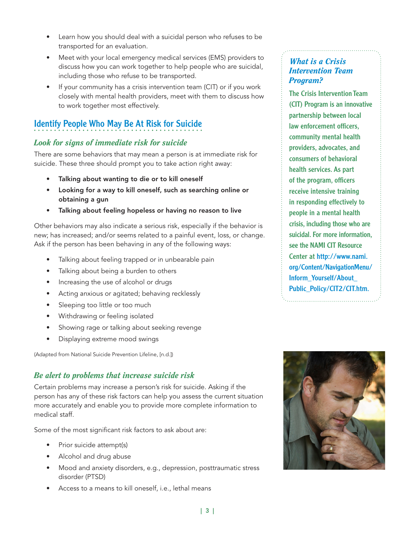- Learn how you should deal with a suicidal person who refuses to be transported for an evaluation.
- Meet with your local emergency medical services (EMS) providers to discuss how you can work together to help people who are suicidal, including those who refuse to be transported.
- If your community has a crisis intervention team (CIT) or if you work closely with mental health providers, meet with them to discuss how to work together most effectively.

# Identify People Who May Be At Risk for Suicide

# *Look for signs of immediate risk for suicide*

There are some behaviors that may mean a person is at immediate risk for suicide. These three should prompt you to take action right away:

- Talking about wanting to die or to kill oneself
- Looking for a way to kill oneself, such as searching online or obtaining a gun
- Talking about feeling hopeless or having no reason to live

Other behaviors may also indicate a serious risk, especially if the behavior is new; has increased; and/or seems related to a painful event, loss, or change. Ask if the person has been behaving in any of the following ways:

- Talking about feeling trapped or in unbearable pain
- Talking about being a burden to others
- Increasing the use of alcohol or drugs
- Acting anxious or agitated; behaving recklessly
- Sleeping too little or too much
- Withdrawing or feeling isolated
- Showing rage or talking about seeking revenge
- Displaying extreme mood swings

(Adapted from National Suicide Prevention Lifeline, [n.d.])

# *Be alert to problems that increase suicide risk*

Certain problems may increase a person's risk for suicide. Asking if the person has any of these risk factors can help you assess the current situation more accurately and enable you to provide more complete information to medical staff.

Some of the most significant risk factors to ask about are:

- Prior suicide attempt(s)
- Alcohol and drug abuse
- Mood and anxiety disorders, e.g., depression, posttraumatic stress disorder (PTSD)
- Access to a means to kill oneself, i.e., lethal means

# *What is a Crisis Intervention Team Program?*

The Crisis Intervention Team (CIT) Program is an innovative partnership between local law enforcement officers, community mental health providers, advocates, and consumers of behavioral health services. As part of the program, officers receive intensive training in responding effectively to people in a mental health crisis, including those who are suicidal. For more information, see the NAMI CIT Resource Center at http://www.nami. org/Content/NavigationMenu/ Inform\_Yourself/About\_ Public\_Policy/CIT2/CIT.htm.

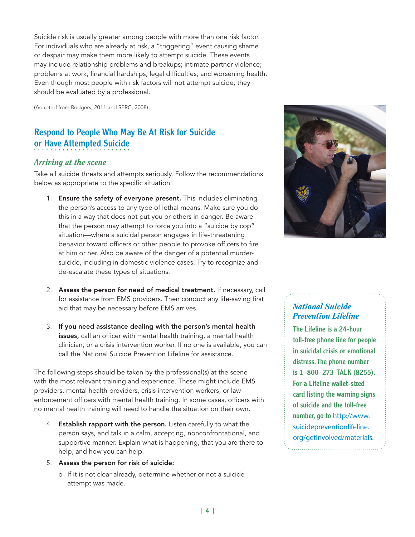Suicide risk is usually greater among people with more than one risk factor. For individuals who are already at risk, a "triggering" event causing shame or despair may make them more likely to attempt suicide. These events may include relationship problems and breakups; intimate partner violence; problems at work; financial hardships; legal difficulties; and worsening health. Even though most people with risk factors will not attempt suicide, they should be evaluated by a professional.

(Adapted from Rodgers, 2011 and SPRC, 2008)

# Respond to People Who May Be At Risk for Suicide or Have Attempted Suicide

### *Arriving at the scene*

Take all suicide threats and attempts seriously. Follow the recommendations below as appropriate to the specific situation:

- 1. Ensure the safety of everyone present. This includes eliminating the person's access to any type of lethal means. Make sure you do this in a way that does not put you or others in danger. Be aware that the person may attempt to force you into a "suicide by cop" situation—where a suicidal person engages in life-threatening behavior toward officers or other people to provoke officers to fire at him or her. Also be aware of the danger of a potential murdersuicide, including in domestic violence cases. Try to recognize and de-escalate these types of situations.
- 2. Assess the person for need of medical treatment. If necessary, call for assistance from EMS providers. Then conduct any life-saving first aid that may be necessary before EMS arrives.
- 3. If you need assistance dealing with the person's mental health issues, call an officer with mental health training, a mental health clinician, or a crisis intervention worker. If no one is available, you can call the National Suicide Prevention Lifeline for assistance.

The following steps should be taken by the professional(s) at the scene with the most relevant training and experience. These might include EMS providers, mental health providers, crisis intervention workers, or law enforcement officers with mental health training. In some cases, officers with no mental health training will need to handle the situation on their own.

- 4. Establish rapport with the person. Listen carefully to what the person says, and talk in a calm, accepting, nonconfrontational, and supportive manner. Explain what is happening, that you are there to help, and how you can help.
- 5. Assess the person for risk of suicide:
	- o If it is not clear already, determine whether or not a suicide attempt was made.



# *National Suicide Prevention Lifeline*

The Lifeline is a 24-hour toll-free phone line for people in suicidal crisis or emotional distress. The phone number is 1–800–273-TALK (8255). For a Lifeline wallet-sized card listing the warning signs of suicide and the toll-free number, go to http://www. suicidepreventionlifeline. org/getinvolved/materials.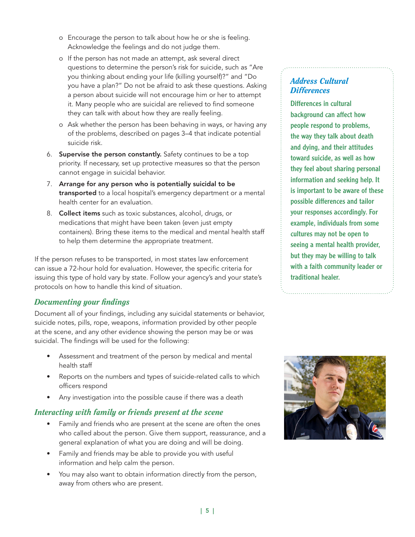- o Encourage the person to talk about how he or she is feeling. Acknowledge the feelings and do not judge them.
- o If the person has not made an attempt, ask several direct questions to determine the person's risk for suicide, such as "Are you thinking about ending your life (killing yourself)?" and "Do you have a plan?" Do not be afraid to ask these questions. Asking a person about suicide will not encourage him or her to attempt it. Many people who are suicidal are relieved to find someone they can talk with about how they are really feeling.
- o Ask whether the person has been behaving in ways, or having any of the problems, described on pages 3–4 that indicate potential suicide risk.
- 6. Supervise the person constantly. Safety continues to be a top priority. If necessary, set up protective measures so that the person cannot engage in suicidal behavior.
- 7. Arrange for any person who is potentially suicidal to be transported to a local hospital's emergency department or a mental health center for an evaluation.
- 8. Collect items such as toxic substances, alcohol, drugs, or medications that might have been taken (even just empty containers). Bring these items to the medical and mental health staff to help them determine the appropriate treatment.

If the person refuses to be transported, in most states law enforcement can issue a 72-hour hold for evaluation. However, the specific criteria for issuing this type of hold vary by state. Follow your agency's and your state's protocols on how to handle this kind of situation.

# *Documenting your findings*

Document all of your findings, including any suicidal statements or behavior, suicide notes, pills, rope, weapons, information provided by other people at the scene, and any other evidence showing the person may be or was suicidal. The findings will be used for the following:

- Assessment and treatment of the person by medical and mental health staff
- Reports on the numbers and types of suicide-related calls to which officers respond
- Any investigation into the possible cause if there was a death

# *Interacting with family or friends present at the scene*

- Family and friends who are present at the scene are often the ones who called about the person. Give them support, reassurance, and a general explanation of what you are doing and will be doing.
- Family and friends may be able to provide you with useful information and help calm the person.
- You may also want to obtain information directly from the person, away from others who are present.

# *Address Cultural Differences*

Differences in cultural background can affect how people respond to problems, the way they talk about death and dying, and their attitudes toward suicide, as well as how they feel about sharing personal information and seeking help. It is important to be aware of these possible differences and tailor your responses accordingly. For example, individuals from some cultures may not be open to seeing a mental health provider, but they may be willing to talk with a faith community leader or traditional healer.

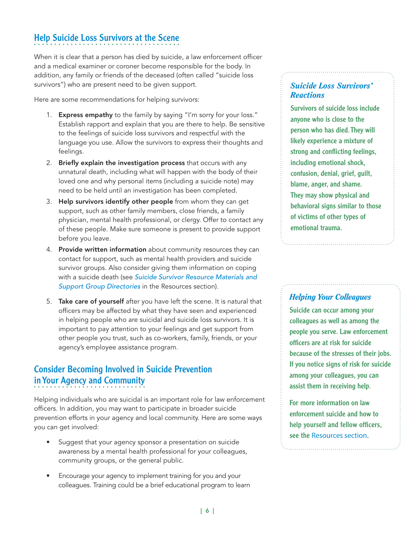# Help Suicide Loss Survivors at the Scene

When it is clear that a person has died by suicide, a law enforcement officer and a medical examiner or coroner become responsible for the body. In addition, any family or friends of the deceased (often called "suicide loss survivors") who are present need to be given support.

Here are some recommendations for helping survivors:

- 1. Express empathy to the family by saying "I'm sorry for your loss." Establish rapport and explain that you are there to help. Be sensitive to the feelings of suicide loss survivors and respectful with the language you use. Allow the survivors to express their thoughts and feelings.
- 2. Briefly explain the investigation process that occurs with any unnatural death, including what will happen with the body of their loved one and why personal items (including a suicide note) may need to be held until an investigation has been completed.
- 3. Help survivors identify other people from whom they can get support, such as other family members, close friends, a family physician, mental health professional, or clergy. Offer to contact any of these people. Make sure someone is present to provide support before you leave.
- 4. Provide written information about community resources they can contact for support, such as mental health providers and suicide survivor groups. Also consider giving them information on coping with a suicide death (see *Suicide Survivor Resource Materials and Support Group Directories* in the Resources section).
- 5. Take care of yourself after you have left the scene. It is natural that officers may be affected by what they have seen and experienced in helping people who are suicidal and suicide loss survivors. It is important to pay attention to your feelings and get support from other people you trust, such as co-workers, family, friends, or your agency's employee assistance program.

# Consider Becoming Involved in Suicide Prevention in Your Agency and Community

Helping individuals who are suicidal is an important role for law enforcement officers. In addition, you may want to participate in broader suicide prevention efforts in your agency and local community. Here are some ways you can get involved:

- Suggest that your agency sponsor a presentation on suicide awareness by a mental health professional for your colleagues, community groups, or the general public.
- Encourage your agency to implement training for you and your colleagues. Training could be a brief educational program to learn

# *Suicide Loss Survivors' Reactions*

Survivors of suicide loss include anyone who is close to the person who has died. They will likely experience a mixture of strong and conflicting feelings, including emotional shock, confusion, denial, grief, guilt, blame, anger, and shame. They may show physical and behavioral signs similar to those of victims of other types of emotional trauma.

# *Helping Your Colleagues*

Suicide can occur among your colleagues as well as among the people you serve. Law enforcement officers are at risk for suicide because of the stresses of their jobs. If you notice signs of risk for suicide among your colleagues, you can assist them in receiving help.

For more information on law enforcement suicide and how to help yourself and fellow officers, see the Resources section.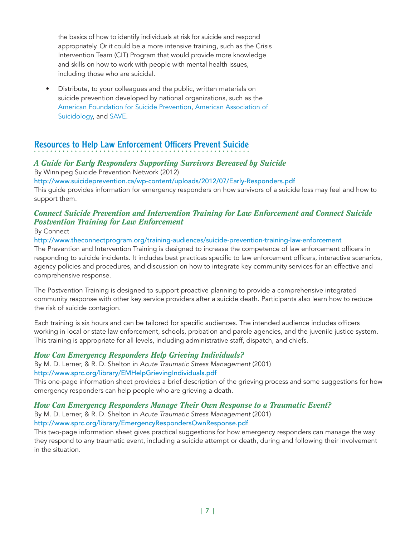the basics of how to identify individuals at risk for suicide and respond appropriately. Or it could be a more intensive training, such as the Crisis Intervention Team (CIT) Program that would provide more knowledge and skills on how to work with people with mental health issues, including those who are suicidal.

• Distribute, to your colleagues and the public, written materials on suicide prevention developed by national organizations, such as the American Foundation for Suicide Prevention, American Association of Suicidology, and SAVE.

# Resources to Help Law Enforcement Officers Prevent Suicide

# *A Guide for Early Responders Supporting Survivors Bereaved by Suicide*

By Winnipeg Suicide Prevention Network (2012)

http://www.suicideprevention.ca/wp-content/uploads/2012/07/Early-Responders.pdf

This guide provides information for emergency responders on how survivors of a suicide loss may feel and how to support them.

# *Connect Suicide Prevention and Intervention Training for Law Enforcement and Connect Suicide Postvention Training for Law Enforcement*

#### By Connect

#### http://www.theconnectprogram.org/training-audiences/suicide-prevention-training-law-enforcement

The Prevention and Intervention Training is designed to increase the competence of law enforcement officers in responding to suicide incidents. It includes best practices specific to law enforcement officers, interactive scenarios, agency policies and procedures, and discussion on how to integrate key community services for an effective and comprehensive response.

The Postvention Training is designed to support proactive planning to provide a comprehensive integrated community response with other key service providers after a suicide death. Participants also learn how to reduce the risk of suicide contagion.

Each training is six hours and can be tailored for specific audiences. The intended audience includes officers working in local or state law enforcement, schools, probation and parole agencies, and the juvenile justice system. This training is appropriate for all levels, including administrative staff, dispatch, and chiefs.

# *How Can Emergency Responders Help Grieving Individuals?*

By M. D. Lerner, & R. D. Shelton in *Acute Traumatic Stress Management* (2001) http://www.sprc.org/library/EMHelpGrievingIndividuals.pdf

This one-page information sheet provides a brief description of the grieving process and some suggestions for how emergency responders can help people who are grieving a death.

#### *How Can Emergency Responders Manage Their Own Response to a Traumatic Event?*

By M. D. Lerner, & R. D. Shelton in *Acute Traumatic Stress Management* (2001) http://www.sprc.org/library/EmergencyRespondersOwnResponse.pdf

This two-page information sheet gives practical suggestions for how emergency responders can manage the way they respond to any traumatic event, including a suicide attempt or death, during and following their involvement in the situation.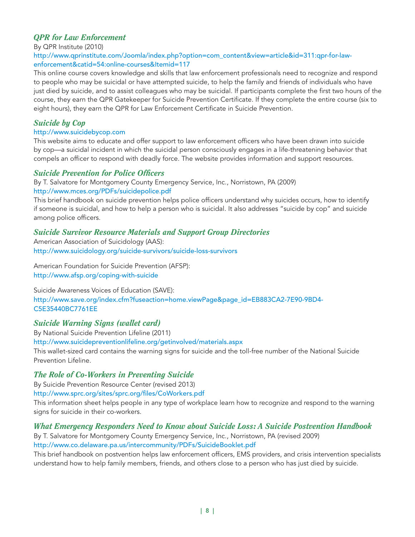# *QPR for Law Enforcement*

By QPR Institute (2010)

#### http://www.qprinstitute.com/Joomla/index.php?option=com\_content&view=article&id=311:qpr-for-lawenforcement&catid=54:online-courses&Itemid=117

This online course covers knowledge and skills that law enforcement professionals need to recognize and respond to people who may be suicidal or have attempted suicide, to help the family and friends of individuals who have just died by suicide, and to assist colleagues who may be suicidal. If participants complete the first two hours of the course, they earn the QPR Gatekeeper for Suicide Prevention Certificate. If they complete the entire course (six to eight hours), they earn the QPR for Law Enforcement Certificate in Suicide Prevention.

### *Suicide by Cop*

#### http://www.suicidebycop.com

This website aims to educate and offer support to law enforcement officers who have been drawn into suicide by cop—a suicidal incident in which the suicidal person consciously engages in a life-threatening behavior that compels an officer to respond with deadly force. The website provides information and support resources.

### *Suicide Prevention for Police Officers*

By T. Salvatore for Montgomery County Emergency Service, Inc., Norristown, PA (2009) http://www.mces.org/PDFs/suicidepolice.pdf

This brief handbook on suicide prevention helps police officers understand why suicides occurs, how to identify if someone is suicidal, and how to help a person who is suicidal. It also addresses "suicide by cop" and suicide among police officers.

# *Suicide Survivor Resource Materials and Support Group Directories*

American Association of Suicidology (AAS): http://www.suicidology.org/suicide-survivors/suicide-loss-survivors

American Foundation for Suicide Prevention (AFSP): http://www.afsp.org/coping-with-suicide

Suicide Awareness Voices of Education (SAVE): http://www.save.org/index.cfm?fuseaction=home.viewPage&page\_id=EB883CA2-7E90-9BD4- C5E35440BC7761EE

# *Suicide Warning Signs (wallet card)*

By National Suicide Prevention Lifeline (2011) http://www.suicidepreventionlifeline.org/getinvolved/materials.aspx This wallet-sized card contains the warning signs for suicide and the toll-free number of the National Suicide Prevention Lifeline.

# *The Role of Co-Workers in Preventing Suicide*

By Suicide Prevention Resource Center (revised 2013)

http://www.sprc.org/sites/sprc.org/files/CoWorkers.pdf

This information sheet helps people in any type of workplace learn how to recognize and respond to the warning signs for suicide in their co-workers.

# *What Emergency Responders Need to Know about Suicide Loss: A Suicide Postvention Handbook*

By T. Salvatore for Montgomery County Emergency Service, Inc., Norristown, PA (revised 2009) http://www.co.delaware.pa.us/intercommunity/PDFs/SuicideBooklet.pdf

This brief handbook on postvention helps law enforcement officers, EMS providers, and crisis intervention specialists understand how to help family members, friends, and others close to a person who has just died by suicide.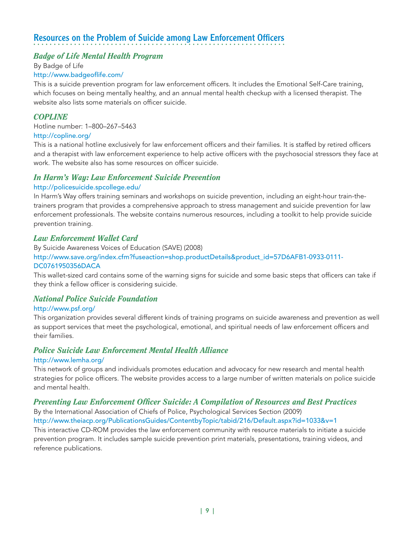# Resources on the Problem of Suicide among Law Enforcement Officers

#### *Badge of Life Mental Health Program*

By Badge of Life

#### http://www.badgeoflife.com/

This is a suicide prevention program for law enforcement officers. It includes the Emotional Self-Care training, which focuses on being mentally healthy, and an annual mental health checkup with a licensed therapist. The website also lists some materials on officer suicide.

#### *COPLINE*

Hotline number: 1–800–267–5463 http://copline.org/

This is a national hotline exclusively for law enforcement officers and their families. It is staffed by retired officers and a therapist with law enforcement experience to help active officers with the psychosocial stressors they face at work. The website also has some resources on officer suicide.

#### *In Harm's Way: Law Enforcement Suicide Prevention*

#### http://policesuicide.spcollege.edu/

In Harm's Way offers training seminars and workshops on suicide prevention, including an eight-hour train-thetrainers program that provides a comprehensive approach to stress management and suicide prevention for law enforcement professionals. The website contains numerous resources, including a toolkit to help provide suicide prevention training.

#### *Law Enforcement Wallet Card*

By Suicide Awareness Voices of Education (SAVE) (2008) http://www.save.org/index.cfm?fuseaction=shop.productDetails&product\_id=57D6AFB1-0933-0111- DC0761950356DACA

This wallet-sized card contains some of the warning signs for suicide and some basic steps that officers can take if they think a fellow officer is considering suicide.

#### *National Police Suicide Foundation*

#### http://www.psf.org/

This organization provides several different kinds of training programs on suicide awareness and prevention as well as support services that meet the psychological, emotional, and spiritual needs of law enforcement officers and their families.

# *Police Suicide Law Enforcement Mental Health Alliance*

#### http://www.lemha.org/

This network of groups and individuals promotes education and advocacy for new research and mental health strategies for police officers. The website provides access to a large number of written materials on police suicide and mental health.

#### *Preventing Law Enforcement Officer Suicide: A Compilation of Resources and Best Practices*

By the International Association of Chiefs of Police, Psychological Services Section (2009)

http://www.theiacp.org/PublicationsGuides/ContentbyTopic/tabid/216/Default.aspx?id=1033&v=1

This interactive CD-ROM provides the law enforcement community with resource materials to initiate a suicide prevention program. It includes sample suicide prevention print materials, presentations, training videos, and reference publications.